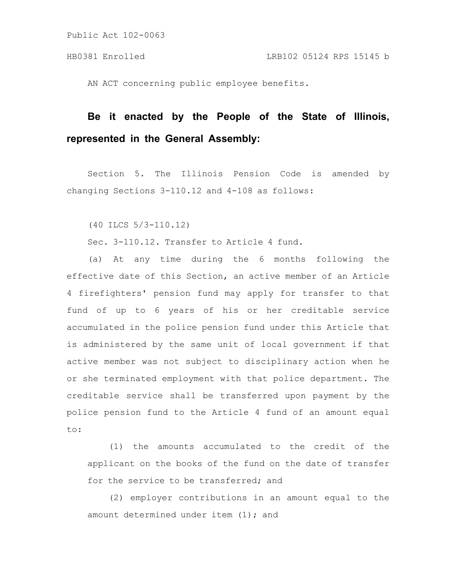AN ACT concerning public employee benefits.

# **Be it enacted by the People of the State of Illinois, represented in the General Assembly:**

Section 5. The Illinois Pension Code is amended by changing Sections 3-110.12 and 4-108 as follows:

(40 ILCS 5/3-110.12)

Sec. 3-110.12. Transfer to Article 4 fund.

(a) At any time during the 6 months following the effective date of this Section, an active member of an Article 4 firefighters' pension fund may apply for transfer to that fund of up to 6 years of his or her creditable service accumulated in the police pension fund under this Article that is administered by the same unit of local government if that active member was not subject to disciplinary action when he or she terminated employment with that police department. The creditable service shall be transferred upon payment by the police pension fund to the Article 4 fund of an amount equal to:

(1) the amounts accumulated to the credit of the applicant on the books of the fund on the date of transfer for the service to be transferred; and

(2) employer contributions in an amount equal to the amount determined under item (1); and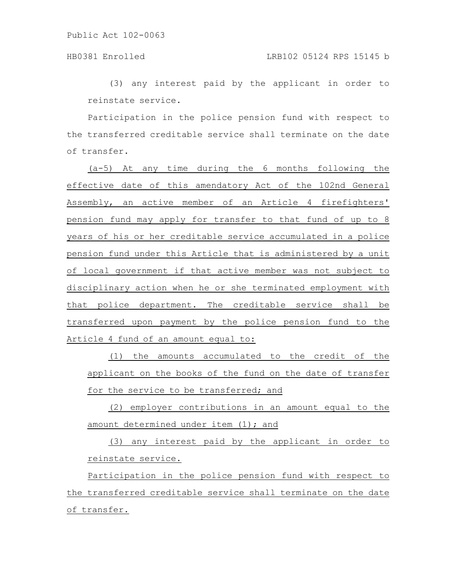(3) any interest paid by the applicant in order to reinstate service.

Participation in the police pension fund with respect to the transferred creditable service shall terminate on the date of transfer.

(a-5) At any time during the 6 months following the effective date of this amendatory Act of the 102nd General Assembly, an active member of an Article 4 firefighters' pension fund may apply for transfer to that fund of up to 8 years of his or her creditable service accumulated in a police pension fund under this Article that is administered by a unit of local government if that active member was not subject to disciplinary action when he or she terminated employment with that police department. The creditable service shall be transferred upon payment by the police pension fund to the Article 4 fund of an amount equal to:

(1) the amounts accumulated to the credit of the applicant on the books of the fund on the date of transfer for the service to be transferred; and

(2) employer contributions in an amount equal to the amount determined under item (1); and

(3) any interest paid by the applicant in order to reinstate service.

Participation in the police pension fund with respect to the transferred creditable service shall terminate on the date of transfer.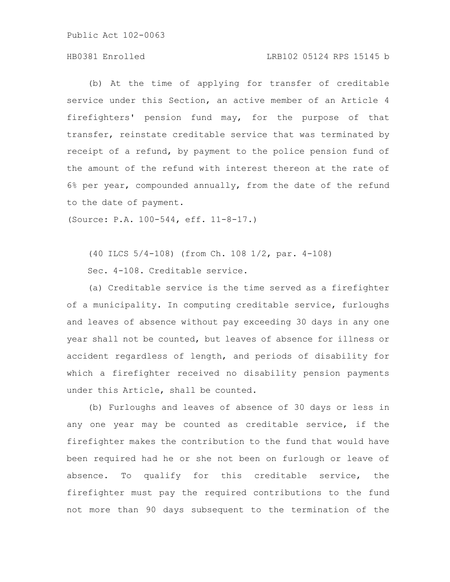### HB0381 Enrolled LRB102 05124 RPS 15145 b

(b) At the time of applying for transfer of creditable service under this Section, an active member of an Article 4 firefighters' pension fund may, for the purpose of that transfer, reinstate creditable service that was terminated by receipt of a refund, by payment to the police pension fund of the amount of the refund with interest thereon at the rate of 6% per year, compounded annually, from the date of the refund to the date of payment.

(Source: P.A. 100-544, eff. 11-8-17.)

(40 ILCS 5/4-108) (from Ch. 108 1/2, par. 4-108)

Sec. 4-108. Creditable service.

(a) Creditable service is the time served as a firefighter of a municipality. In computing creditable service, furloughs and leaves of absence without pay exceeding 30 days in any one year shall not be counted, but leaves of absence for illness or accident regardless of length, and periods of disability for which a firefighter received no disability pension payments under this Article, shall be counted.

(b) Furloughs and leaves of absence of 30 days or less in any one year may be counted as creditable service, if the firefighter makes the contribution to the fund that would have been required had he or she not been on furlough or leave of absence. To qualify for this creditable service, the firefighter must pay the required contributions to the fund not more than 90 days subsequent to the termination of the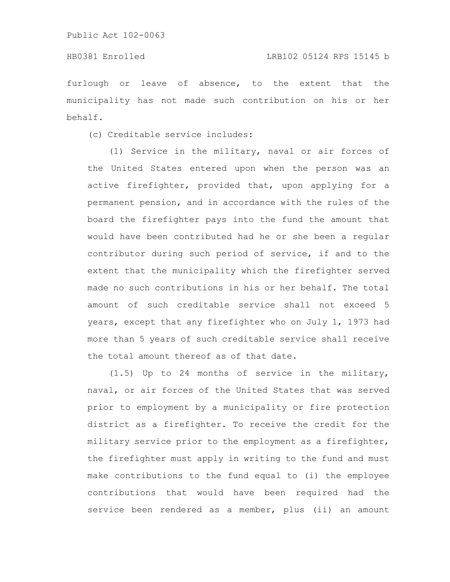## HB0381 Enrolled LRB102 05124 RPS 15145 b

furlough or leave of absence, to the extent that the municipality has not made such contribution on his or her behalf.

(c) Creditable service includes:

(1) Service in the military, naval or air forces of the United States entered upon when the person was an active firefighter, provided that, upon applying for a permanent pension, and in accordance with the rules of the board the firefighter pays into the fund the amount that would have been contributed had he or she been a regular contributor during such period of service, if and to the extent that the municipality which the firefighter served made no such contributions in his or her behalf. The total amount of such creditable service shall not exceed 5 years, except that any firefighter who on July 1, 1973 had more than 5 years of such creditable service shall receive the total amount thereof as of that date.

(1.5) Up to 24 months of service in the military, naval, or air forces of the United States that was served prior to employment by a municipality or fire protection district as a firefighter. To receive the credit for the military service prior to the employment as a firefighter, the firefighter must apply in writing to the fund and must make contributions to the fund equal to (i) the employee contributions that would have been required had the service been rendered as a member, plus (ii) an amount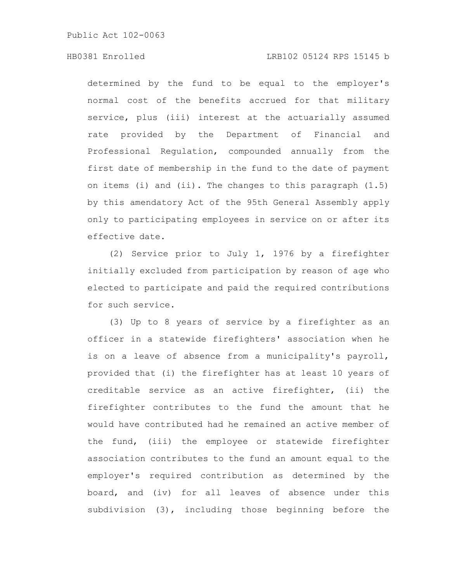### HB0381 Enrolled LRB102 05124 RPS 15145 b

determined by the fund to be equal to the employer's normal cost of the benefits accrued for that military service, plus (iii) interest at the actuarially assumed rate provided by the Department of Financial and Professional Regulation, compounded annually from the first date of membership in the fund to the date of payment on items (i) and (ii). The changes to this paragraph (1.5) by this amendatory Act of the 95th General Assembly apply only to participating employees in service on or after its effective date.

(2) Service prior to July 1, 1976 by a firefighter initially excluded from participation by reason of age who elected to participate and paid the required contributions for such service.

(3) Up to 8 years of service by a firefighter as an officer in a statewide firefighters' association when he is on a leave of absence from a municipality's payroll, provided that (i) the firefighter has at least 10 years of creditable service as an active firefighter, (ii) the firefighter contributes to the fund the amount that he would have contributed had he remained an active member of the fund, (iii) the employee or statewide firefighter association contributes to the fund an amount equal to the employer's required contribution as determined by the board, and (iv) for all leaves of absence under this subdivision (3), including those beginning before the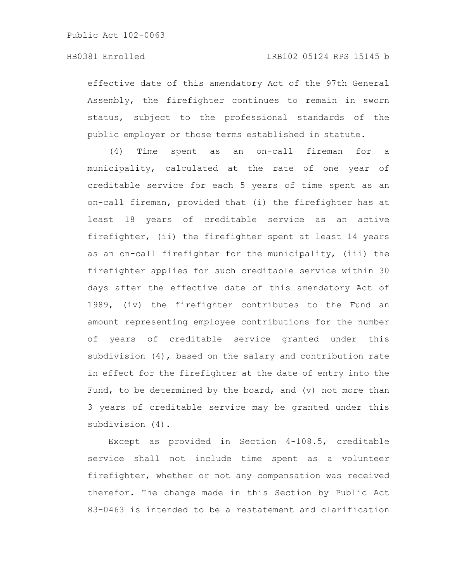effective date of this amendatory Act of the 97th General Assembly, the firefighter continues to remain in sworn status, subject to the professional standards of the public employer or those terms established in statute.

(4) Time spent as an on-call fireman for a municipality, calculated at the rate of one year of creditable service for each 5 years of time spent as an on-call fireman, provided that (i) the firefighter has at least 18 years of creditable service as an active firefighter, (ii) the firefighter spent at least 14 years as an on-call firefighter for the municipality, (iii) the firefighter applies for such creditable service within 30 days after the effective date of this amendatory Act of 1989, (iv) the firefighter contributes to the Fund an amount representing employee contributions for the number of years of creditable service granted under this subdivision (4), based on the salary and contribution rate in effect for the firefighter at the date of entry into the Fund, to be determined by the board, and (v) not more than 3 years of creditable service may be granted under this subdivision (4).

Except as provided in Section 4-108.5, creditable service shall not include time spent as a volunteer firefighter, whether or not any compensation was received therefor. The change made in this Section by Public Act 83-0463 is intended to be a restatement and clarification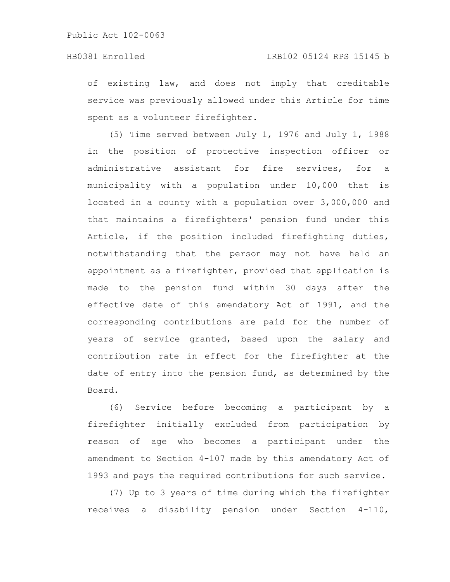of existing law, and does not imply that creditable service was previously allowed under this Article for time spent as a volunteer firefighter.

(5) Time served between July 1, 1976 and July 1, 1988 in the position of protective inspection officer or administrative assistant for fire services, for a municipality with a population under 10,000 that is located in a county with a population over 3,000,000 and that maintains a firefighters' pension fund under this Article, if the position included firefighting duties, notwithstanding that the person may not have held an appointment as a firefighter, provided that application is made to the pension fund within 30 days after the effective date of this amendatory Act of 1991, and the corresponding contributions are paid for the number of years of service granted, based upon the salary and contribution rate in effect for the firefighter at the date of entry into the pension fund, as determined by the Board.

(6) Service before becoming a participant by a firefighter initially excluded from participation by reason of age who becomes a participant under the amendment to Section 4-107 made by this amendatory Act of 1993 and pays the required contributions for such service.

(7) Up to 3 years of time during which the firefighter receives a disability pension under Section 4-110,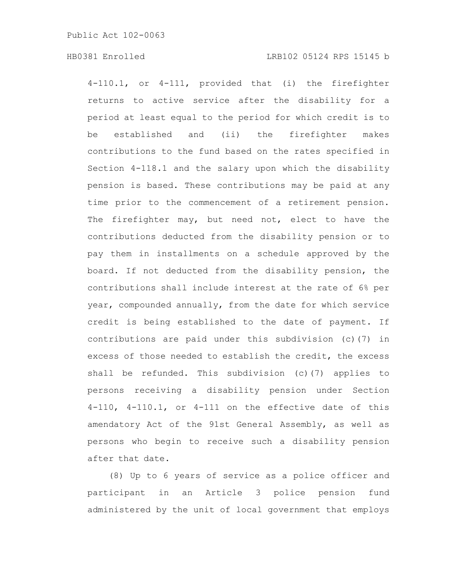### HB0381 Enrolled LRB102 05124 RPS 15145 b

4-110.1, or 4-111, provided that (i) the firefighter returns to active service after the disability for a period at least equal to the period for which credit is to be established and (ii) the firefighter makes contributions to the fund based on the rates specified in Section 4-118.1 and the salary upon which the disability pension is based. These contributions may be paid at any time prior to the commencement of a retirement pension. The firefighter may, but need not, elect to have the contributions deducted from the disability pension or to pay them in installments on a schedule approved by the board. If not deducted from the disability pension, the contributions shall include interest at the rate of 6% per year, compounded annually, from the date for which service credit is being established to the date of payment. If contributions are paid under this subdivision (c)(7) in excess of those needed to establish the credit, the excess shall be refunded. This subdivision (c)(7) applies to persons receiving a disability pension under Section 4-110, 4-110.1, or 4-111 on the effective date of this amendatory Act of the 91st General Assembly, as well as persons who begin to receive such a disability pension after that date.

(8) Up to 6 years of service as a police officer and participant in an Article 3 police pension fund administered by the unit of local government that employs